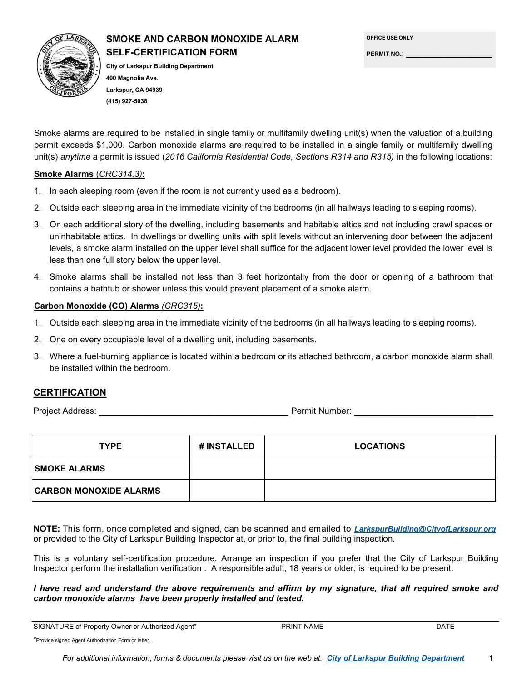

# **SMOKE AND CARBON MONOXIDE ALARM SELF-CERTIFICATION FORM**

**OFFICE USE ONLY**

**PERMIT NO.: \_\_\_\_\_\_\_\_\_\_\_\_\_\_\_\_**

**City of Larkspur Building Department 400 Magnolia Ave. Larkspur, CA 94939 (415) 927-5038**

Smoke alarms are required to be installed in single family or multifamily dwelling unit(s) when the valuation of a building permit exceeds \$1,000. Carbon monoxide alarms are required to be installed in a single family or multifamily dwelling unit(s) *anytime* a permit is issued (*2016 California Residential Code, Sections R314 and R315)* in the following locations:

#### **Smoke Alarms** (*CRC314.3)***:**

- 1. In each sleeping room (even if the room is not currently used as a bedroom).
- 2. Outside each sleeping area in the immediate vicinity of the bedrooms (in all hallways leading to sleeping rooms).
- 3. On each additional story of the dwelling, including basements and habitable attics and not including crawl spaces or uninhabitable attics. In dwellings or dwelling units with split levels without an intervening door between the adjacent levels, a smoke alarm installed on the upper level shall suffice for the adjacent lower level provided the lower level is less than one full story below the upper level.
- 4. Smoke alarms shall be installed not less than 3 feet horizontally from the door or opening of a bathroom that contains a bathtub or shower unless this would prevent placement of a smoke alarm.

#### **Carbon Monoxide (CO) Alarms** *(CRC315)***:**

- 1. Outside each sleeping area in the immediate vicinity of the bedrooms (in all hallways leading to sleeping rooms).
- 2. One on every occupiable level of a dwelling unit, including basements.
- 3. Where a fuel-burning appliance is located within a bedroom or its attached bathroom, a carbon monoxide alarm shall be installed within the bedroom.

## **CERTIFICATION**

Project Address: **\_\_\_\_\_\_\_\_\_\_\_\_\_\_\_\_\_\_\_\_\_\_\_\_\_\_\_\_\_\_\_\_\_\_\_\_** Permit Number: **\_\_\_\_\_\_\_\_\_\_\_\_\_\_\_\_\_\_\_\_\_\_\_\_\_\_**

| <b>TYPE</b>                   | # INSTALLED | <b>LOCATIONS</b> |
|-------------------------------|-------------|------------------|
| <b>SMOKE ALARMS</b>           |             |                  |
| <b>CARBON MONOXIDE ALARMS</b> |             |                  |

**NOTE:** This form, once completed and signed, can be scanned and emailed to *LarkspurBuilding@CityofLarkspur.org* or provided to the City of Larkspur Building Inspector at, or prior to, the final building inspection.

This is a voluntary self-certification procedure. Arrange an inspection if you prefer that the City of Larkspur Building Inspector perform the installation verification . A responsible adult, 18 years or older, is required to be present.

*I have read and understand the above requirements and affirm by my signature, that all required smoke and carbon monoxide alarms have been properly installed and tested.*

| SIGNATURE of Property Owner or Authorized Agent* | <b>PRINT NAME</b> | DATE |
|--------------------------------------------------|-------------------|------|
|--------------------------------------------------|-------------------|------|

\*Provide signed Agent Authorization Form or letter.